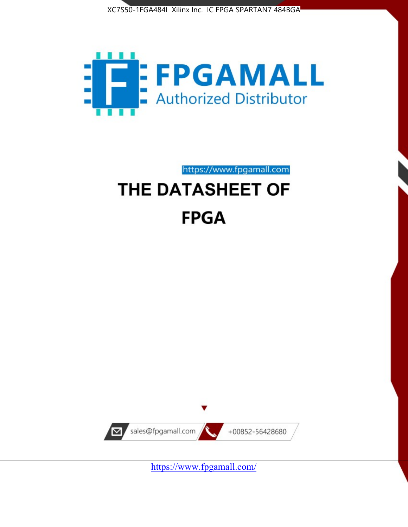



https://www.fpgamall.com

# THE DATASHEET OF **FPGA**



<https://www.fpgamall.com/>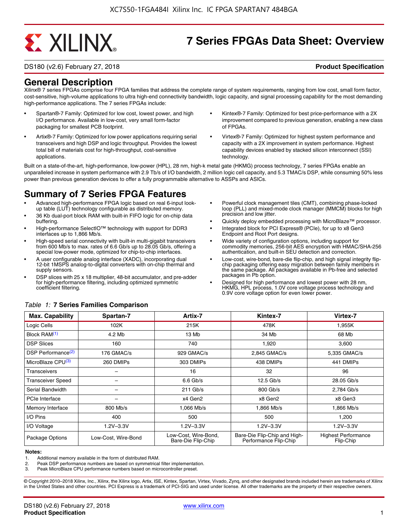# **EXALINX**

## **7 Series FPGAs Data Sheet: Overview**

DS180 (v2.6) February 27, 2018 **Product Specification**

### **General Description**

Xilinx® 7 series FPGAs comprise four FPGA families that address the complete range of system requirements, ranging from low cost, small form factor, cost-sensitive, high-volume applications to ultra high-end connectivity bandwidth, logic capacity, and signal processing capability for the most demanding high-performance applications. The 7 series FPGAs include:

- Spartan®-7 Family: Optimized for low cost, lowest power, and high I/O performance. Available in low-cost, very small form-factor packaging for smallest PCB footprint.
- Artix®-7 Family: Optimized for low power applications requiring serial transceivers and high DSP and logic throughput. Provides the lowest total bill of materials cost for high-throughput, cost-sensitive applications.
- Kintex®-7 Family: Optimized for best price-performance with a 2X improvement compared to previous generation, enabling a new class of FPGAs.
- Virtex®-7 Family: Optimized for highest system performance and capacity with a 2X improvement in system performance. Highest capability devices enabled by stacked silicon interconnect (SSI) technology

Built on a state-of-the-art, high-performance, low-power (HPL), 28 nm, high-k metal gate (HKMG) process technology, 7 series FPGAs enable an unparalleled increase in system performance with 2.9 Tb/s of I/O bandwidth, 2 million logic cell capacity, and 5.3 TMAC/s DSP, while consuming 50% less power than previous generation devices to offer a fully programmable alternative to ASSPs and ASICs.

### **Summary of 7 Series FPGA Features**

- Advanced high-performance FPGA logic based on real 6-input lookup table (LUT) technology configurable as distributed memory.
- 36 Kb dual-port block RAM with built-in FIFO logic for on-chip data buffering.
- High-performance SelectIO™ technology with support for DDR3 interfaces up to 1,866 Mb/s.
- High-speed serial connectivity with built-in multi-gigabit transceivers from 600 Mb/s to max. rates of 6.6 Gb/s up to 28.05 Gb/s, offering a special low-power mode, optimized for chip-to-chip interfaces.
- A user configurable analog interface (XADC), incorporating dual 12-bit 1MSPS analog-to-digital converters with on-chip thermal and supply sensors.
- DSP slices with 25 x 18 multiplier, 48-bit accumulator, and pre-adder for high-performance filtering, including optimized symmetric coefficient filtering.
- Powerful clock management tiles (CMT), combining phase-locked loop (PLL) and mixed-mode clock manager (MMCM) blocks for high precision and low jitter.
- Quickly deploy embedded processing with MicroBlaze<sup>™</sup> processor.
- Integrated block for PCI Express® (PCIe), for up to x8 Gen3 Endpoint and Root Port designs.
- Wide variety of configuration options, including support for commodity memories, 256-bit AES encryption with HMAC/SHA-256 authentication, and built-in SEU detection and correction.
- Low-cost, wire-bond, bare-die flip-chip, and high signal integrity flipchip packaging offering easy migration between family members in the same package. All packages available in Pb-free and selected packages in Pb option.
- Designed for high performance and lowest power with 28 nm, HKMG, HPL process, 1.0V core voltage process technology and 0.9V core voltage option for even lower power.

| <b>Max. Capability</b>         | Spartan-7           | Artix-7                                    | Kintex-7                                              | Virtex-7                                |
|--------------------------------|---------------------|--------------------------------------------|-------------------------------------------------------|-----------------------------------------|
| Logic Cells                    | 102K                | 215K                                       | 478K                                                  | 1,955K                                  |
| Block RAM <sup>(1)</sup>       | 4.2 Mb              | 13 Mb                                      | 34 Mb                                                 | 68 Mb                                   |
| <b>DSP Slices</b>              | 160                 | 740                                        | 1,920                                                 | 3,600                                   |
| DSP Performance <sup>(2)</sup> | 176 GMAC/s          | 929 GMAC/s                                 | 2,845 GMAC/s                                          | 5,335 GMAC/s                            |
| MicroBlaze CPU <sup>(3)</sup>  | 260 DMIPs           | 303 DMIPs                                  | 438 DMIPs                                             | 441 DMIPs                               |
| Transceivers                   |                     | 16                                         | 32                                                    | 96                                      |
| <b>Transceiver Speed</b>       |                     | $6.6$ Gb/s                                 | $12.5$ Gb/s                                           | 28.05 Gb/s                              |
| Serial Bandwidth               |                     | $211$ Gb/s                                 | 800 Gb/s                                              | 2,784 Gb/s                              |
| <b>PCIe Interface</b>          | -                   | x4 Gen2                                    | x8 Gen2                                               | x8 Gen3                                 |
| Memory Interface               | 800 Mb/s            | 1.066 Mb/s                                 | 1.866 Mb/s                                            | 1.866 Mb/s                              |
| I/O Pins                       | 400                 | 500                                        | 500                                                   | 1,200                                   |
| I/O Voltage                    | $1.2V - 3.3V$       | $1.2V - 3.3V$                              | $1.2V - 3.3V$                                         | $1.2V - 3.3V$                           |
| Package Options                | Low-Cost. Wire-Bond | Low-Cost, Wire-Bond,<br>Bare-Die Flip-Chip | Bare-Die Flip-Chip and High-<br>Performance Flip-Chip | <b>Highest Performance</b><br>Flip-Chip |

#### *Table 1:* **7 Series Families Comparison**

#### **Notes:**

1. Additional memory available in the form of distributed RAM.

2. Peak DSP performance numbers are based on symmetrical filter implementation.<br>3. Peak MicroBlaze CPU performance numbers based on microcontroller preset.

Peak MicroBlaze CPU performance numbers based on microcontroller preset.

© Copyright 2010–2018 Xilinx, Inc., Xilinx, the Xilinx logo, Artix, ISE, Kintex, Spartan, Virtex, Vivado, Zynq, and other designated brands included herein are trademarks of Xilinx in the United States and other countries. PCI Express is a trademark of PCI-SIG and used under license. All other trademarks are the property of their respective owners.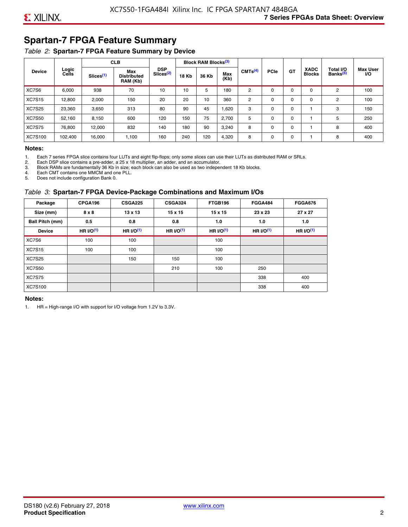### **Spartan-7 FPGA Feature Summary**

#### *Table 2:* **Spartan-7 FPGA Feature Summary by Device**

|               |                |                       | <b>CLB</b>                            |                                     |              | <b>Block RAM Blocks</b> <sup>(3)</sup> |             |                     |             |             |                              |                                   |                              |
|---------------|----------------|-----------------------|---------------------------------------|-------------------------------------|--------------|----------------------------------------|-------------|---------------------|-------------|-------------|------------------------------|-----------------------------------|------------------------------|
| <b>Device</b> | Logic<br>Cells | Slices <sup>(1)</sup> | Max<br><b>Distributed</b><br>RAM (Kb) | <b>DSP</b><br>Slices <sup>(2)</sup> | <b>18 Kb</b> | 36 Kb                                  | Max<br>(Kb) | CMTS <sup>(4)</sup> | <b>PCle</b> | GT          | <b>XADC</b><br><b>Blocks</b> | Total I/O<br>Banks <sup>(5)</sup> | <b>Max User</b><br><b>VO</b> |
| XC7S6         | 6,000          | 938                   | 70                                    | 10                                  | 10           | 5                                      | 180         | 2                   | $\Omega$    | $\Omega$    | $\Omega$                     | 2                                 | 100                          |
| <b>XC7S15</b> | 12,800         | 2,000                 | 150                                   | 20                                  | 20           | 10                                     | 360         | 2                   | 0           | $\mathbf 0$ | 0                            | 2                                 | 100                          |
| <b>XC7S25</b> | 23,360         | 3,650                 | 313                                   | 80                                  | 90           | 45                                     | 1,620       | 3                   | 0           | 0           |                              | 3                                 | 150                          |
| <b>XC7S50</b> | 52,160         | 8,150                 | 600                                   | 120                                 | 150          | 75                                     | 2,700       | 5                   | $\Omega$    | 0           |                              | 5                                 | 250                          |
| <b>XC7S75</b> | 76,800         | 12.000                | 832                                   | 140                                 | 180          | 90                                     | 3,240       | 8                   | 0           | 0           |                              | 8                                 | 400                          |
| XC7S100       | 102,400        | 16,000                | 1,100                                 | 160                                 | 240          | 120                                    | 4,320       | 8                   | 0           | $\mathbf 0$ |                              | 8                                 | 400                          |

#### **Notes:**

1. Each 7 series FPGA slice contains four LUTs and eight flip-flops; only some slices can use their LUTs as distributed RAM or SRLs.

2. Each DSP slice contains a pre-adder, a 25 x 18 multiplier, an adder, and an accumulator. 3. Block RAMs are fundamentally 36 Kb in size; each block can also be used as two independent 18 Kb blocks.

4. Each CMT contains one MMCM and one PLL.

5. Does not include configuration Bank 0.

#### *Table 3:* **Spartan-7 FPGA Device-Package Combinations and Maximum I/Os**

| Package         | CPGA196    | <b>CSGA225</b> | <b>CSGA324</b> | FTGB196     | <b>FGGA484</b> | <b>FGGA676</b> |
|-----------------|------------|----------------|----------------|-------------|----------------|----------------|
| Size (mm)       | 8 x 8      | $13 \times 13$ | $15 \times 15$ | 15 x 15     | 23 x 23        | 27 x 27        |
| Ball Pitch (mm) | 0.5        | 0.8            | 0.8            | 1.0         | 1.0            | 1.0            |
| <b>Device</b>   | HR $UO(1)$ | HR $UO(1)$     | HR $UO(1)$     | HR $l/O(1)$ | HR $I/O(1)$    | HR $l/O(1)$    |
| XC7S6           | 100        | 100            |                | 100         |                |                |
| <b>XC7S15</b>   | 100        | 100            |                | 100         |                |                |
| <b>XC7S25</b>   |            | 150            | 150            | 100         |                |                |
| <b>XC7S50</b>   |            |                | 210            | 100         | 250            |                |
| <b>XC7S75</b>   |            |                |                |             | 338            | 400            |
| <b>XC7S100</b>  |            |                |                |             | 338            | 400            |

#### **Notes:**

1. HR = High-range I/O with support for I/O voltage from 1.2V to 3.3V.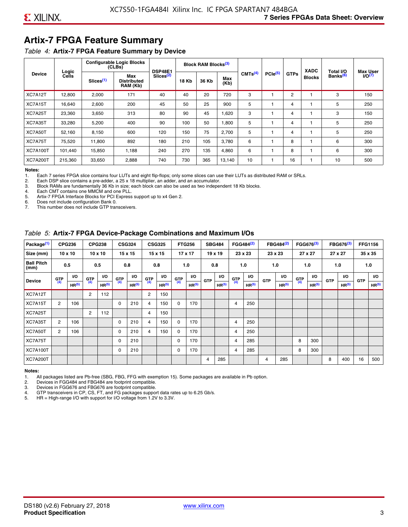### **Artix-7 FPGA Feature Summary**

#### *Table 4:* **Artix-7 FPGA Feature Summary by Device**

|                 |                |                       | <b>Configurable Logic Blocks</b><br>(CLBs) | <b>DSP48E1</b>        |              | Block RAM Blocks <sup>(3)</sup> |             |                     |                     |             | <b>XADC</b>   | Total I/O            | <b>Max User</b>    |
|-----------------|----------------|-----------------------|--------------------------------------------|-----------------------|--------------|---------------------------------|-------------|---------------------|---------------------|-------------|---------------|----------------------|--------------------|
| <b>Device</b>   | Logic<br>Cells | Slices <sup>(1)</sup> | Max<br><b>Distributed</b><br>RAM (Kb)      | Slices <sup>(2)</sup> | <b>18 Kb</b> | 36 Kb                           | Max<br>(Kb) | CMTS <sup>(4)</sup> | PCle <sup>(5)</sup> | <b>GTPs</b> | <b>Blocks</b> | Banks <sup>(6)</sup> | I/O <sub>(7)</sub> |
| XC7A12T         | 12,800         | 2,000                 | 171                                        | 40                    | 40           | 20                              | 720         | 3                   |                     | 2           |               | 3                    | 150                |
| XC7A15T         | 16,640         | 2,600                 | 200                                        | 45                    | 50           | 25                              | 900         | 5                   |                     | 4           |               | 5                    | 250                |
| XC7A25T         | 23,360         | 3,650                 | 313                                        | 80                    | 90           | 45                              | 1,620       | 3                   |                     | 4           |               | 3                    | 150                |
| XC7A35T         | 33,280         | 5,200                 | 400                                        | 90                    | 100          | 50                              | 1,800       | 5                   |                     | 4           |               | 5                    | 250                |
| XC7A50T         | 52,160         | 8,150                 | 600                                        | 120                   | 150          | 75                              | 2.700       | 5                   |                     | 4           |               | 5                    | 250                |
| XC7A75T         | 75,520         | 11,800                | 892                                        | 180                   | 210          | 105                             | 3,780       | 6                   |                     | 8           |               | 6                    | 300                |
| <b>XC7A100T</b> | 101.440        | 15,850                | 1.188                                      | 240                   | 270          | 135                             | 4,860       | 6                   |                     | 8           |               | 6                    | 300                |
| <b>XC7A200T</b> | 215,360        | 33,650                | 2,888                                      | 740                   | 730          | 365                             | 13,140      | 10                  |                     | 16          |               | 10                   | 500                |

**Notes:**  Each 7 series FPGA slice contains four LUTs and eight flip-flops; only some slices can use their LUTs as distributed RAM or SRLs.

2. Each DSP slice contains a pre-adder, a 25 x 18 multiplier, an adder, and an accumulator.

3. Block RAMs are fundamentally 36 Kb in size; each block can also be used as two independent 18 Kb blocks.

4. Each CMT contains one MMCM and one PLL.<br>5. Artix-7 FPGA Interface Blocks for PCI Express

5. Artix-7 FPGA Interface Blocks for PCI Express support up to x4 Gen 2.<br>6. Does not include configuration Bank 0.

6. Does not include configuration Bank 0.

This number does not include GTP transceivers.

#### *Table 5:* **Artix-7 FPGA Device-Package Combinations and Maximum I/Os**

| Package <sup>(1)</sup>    |                | <b>CPG236</b>     |            | <b>CPG238</b>     |       | <b>CSG324</b>     |                | <b>CSG325</b>     |      | <b>FTG256</b>     |            | <b>SBG484</b>     |                | FGG484 <sup>(2)</sup> |            | FBG484 <sup>(2)</sup> |       | FGG676 <sup>(3)</sup> |            | FBG676 <sup>(3)</sup> |            | <b>FFG1156</b> |
|---------------------------|----------------|-------------------|------------|-------------------|-------|-------------------|----------------|-------------------|------|-------------------|------------|-------------------|----------------|-----------------------|------------|-----------------------|-------|-----------------------|------------|-----------------------|------------|----------------|
| Size (mm)                 |                | $10 \times 10$    |            | $10 \times 10$    |       | $15 \times 15$    |                | 15 x 15           |      | $17 \times 17$    |            | $19 \times 19$    |                | 23 x 23               |            | 23 x 23               |       | 27 x 27               |            | 27 x 27               |            | 35 x 35        |
| <b>Ball Pitch</b><br>(mm) |                | 0.5               |            | 0.5               |       | 0.8               |                | 0.8               |      | 1.0               |            | 0.8               |                | 1.0                   |            | 1.0                   |       | 1.0                   |            | 1.0                   |            | 1.0            |
| <b>Device</b>             | G(T)           | <b>VO</b>         | <b>GTP</b> | <b>VO</b>         | G(TP) | I/O               | G(TP)          | <b>VO</b>         | G(TP | VO.               | <b>GTP</b> | VO.               | G(TP)          | <b>VO</b>             | <b>GTP</b> | VO.                   | G(TP) | <b>VO</b>             | <b>GTP</b> | <b>I/O</b>            | <b>GTP</b> | <b>VO</b>      |
|                           |                | HR <sup>(5)</sup> | (4)        | HR <sup>(5)</sup> |       | HR <sup>(5)</sup> |                | HR <sup>(5)</sup> |      | HR <sup>(5)</sup> |            | HR <sup>(5)</sup> |                | HR <sup>(5)</sup>     |            | HR <sup>(5)</sup>     |       | HR <sup>(5)</sup>     |            | HR <sup>(5)</sup>     |            | HR(5)          |
| XC7A12T                   |                |                   | 2          | 112               |       |                   | $\overline{2}$ | 150               |      |                   |            |                   |                |                       |            |                       |       |                       |            |                       |            |                |
| XC7A15T                   | 2              | 106               |            |                   | 0     | 210               | $\overline{4}$ | 150               | 0    | 170               |            |                   | 4              | 250                   |            |                       |       |                       |            |                       |            |                |
| XC7A25T                   |                |                   | 2          | 112               |       |                   | 4              | 150               |      |                   |            |                   |                |                       |            |                       |       |                       |            |                       |            |                |
| XC7A35T                   | $\overline{2}$ | 106               |            |                   | 0     | 210               | 4              | 150               | 0    | 170               |            |                   | 4              | 250                   |            |                       |       |                       |            |                       |            |                |
| XC7A50T                   | 2              | 106               |            |                   | 0     | 210               | 4              | 150               | 0    | 170               |            |                   | 4              | 250                   |            |                       |       |                       |            |                       |            |                |
| XC7A75T                   |                |                   |            |                   | 0     | 210               |                |                   | 0    | 170               |            |                   | 4              | 285                   |            |                       | 8     | 300                   |            |                       |            |                |
| <b>XC7A100T</b>           |                |                   |            |                   | 0     | 210               |                |                   | 0    | 170               |            |                   | $\overline{4}$ | 285                   |            |                       | 8     | 300                   |            |                       |            |                |
| <b>XC7A200T</b>           |                |                   |            |                   |       |                   |                |                   |      |                   | 4          | 285               |                |                       | 4          | 285                   |       |                       | 8          | 400                   | 16         | 500            |

#### **Notes:**

1. All packages listed are Pb-free (SBG, FBG, FFG with exemption 15). Some packages are available in Pb option.

2. Devices in FGG484 and FBG484 are footprint compatible.

3. Devices in FGG676 and FBG676 are footprint compatible.

4. GTP transceivers in CP, CS, FT, and FG packages support data rates up to 6.25 Gb/s.<br>5. HR = High-range I/O with support for I/O voltage from 1.2V to 3.3V.

HR = High-range I/O with support for I/O voltage from 1.2V to 3.3V.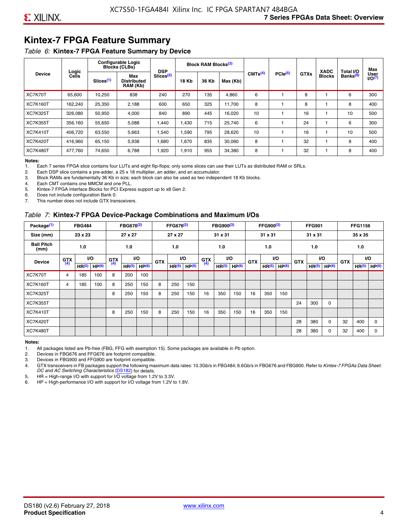### **Kintex-7 FPGA Feature Summary**

#### *Table 6:* **Kintex-7 FPGA Feature Summary by Device**

|                 |                |                       | <b>Configurable Logic</b><br><b>Blocks (CLBs)</b> | <b>DSP</b>            |              | <b>Block RAM Blocks</b> <sup>(3)</sup> |          |                     |              |             | <b>XADC</b>   | Total I/O            | Max                 |
|-----------------|----------------|-----------------------|---------------------------------------------------|-----------------------|--------------|----------------------------------------|----------|---------------------|--------------|-------------|---------------|----------------------|---------------------|
| <b>Device</b>   | Logic<br>Cells | Slices <sup>(1)</sup> | Max<br><b>Distributed</b><br>RAM (Kb)             | Slices <sup>(2)</sup> | <b>18 Kb</b> | 36 Kb                                  | Max (Kb) | CMTS <sup>(4)</sup> | $PCle^{(5)}$ | <b>GTXs</b> | <b>Blocks</b> | Banks <sup>(6)</sup> | User<br>$U$ O $(7)$ |
| XC7K70T         | 65,600         | 10,250                | 838                                               | 240                   | 270          | 135                                    | 4,860    | 6                   |              | 8           |               | 6                    | 300                 |
| <b>XC7K160T</b> | 162,240        | 25,350                | 2,188                                             | 600                   | 650          | 325                                    | 11,700   | 8                   |              | 8           |               | 8                    | 400                 |
| <b>XC7K325T</b> | 326.080        | 50.950                | 4,000                                             | 840                   | 890          | 445                                    | 16,020   | 10                  |              | 16          |               | 10                   | 500                 |
| <b>XC7K355T</b> | 356.160        | 55,650                | 5,088                                             | 1,440                 | 1.430        | 715                                    | 25,740   | 6                   |              | 24          |               | 6                    | 300                 |
| <b>XC7K410T</b> | 406,720        | 63,550                | 5,663                                             | 1,540                 | 1,590        | 795                                    | 28,620   | 10                  |              | 16          |               | 10                   | 500                 |
| <b>XC7K420T</b> | 416,960        | 65,150                | 5,938                                             | 1,680                 | 1,670        | 835                                    | 30,060   | 8                   |              | 32          |               | 8                    | 400                 |
| <b>XC7K480T</b> | 477.760        | 74,650                | 6,788                                             | 1,920                 | 1,910        | 955                                    | 34,380   | 8                   |              | 32          |               | 8                    | 400                 |

#### **Notes:**

1. Each 7 series FPGA slice contains four LUTs and eight flip-flops; only some slices can use their LUTs as distributed RAM or SRLs.<br>2. Each DSP slice contains a pre-adder, a 25 x 18 multiplier, an adder, and an accumulato

Each DSP slice contains a pre-adder, a 25 x 18 multiplier, an adder, and an accumulator.

3. Block RAMs are fundamentally 36 Kb in size; each block can also be used as two independent 18 Kb blocks.

4. Each CMT contains one MMCM and one PLL.

5. Kintex-7 FPGA Interface Blocks for PCI Express support up to x8 Gen 2.

6. Does not include configuration Bank 0.

7. This number does not include GTX transceivers.

#### *Table 7:* **Kintex-7 FPGA Device-Package Combinations and Maximum I/Os**

| Package <sup>(1)</sup>    |            | <b>FBG484</b>     |                   |            | FBG676 <sup>(2)</sup> |                   |            | FFG676 <sup>(2)</sup> |                   |            | FBG900 <sup>(3)</sup> |                   |            | FFG900 <sup>(3)</sup> |                   |            | <b>FFG901</b>     |                   |            | <b>FFG1156</b>    |                   |
|---------------------------|------------|-------------------|-------------------|------------|-----------------------|-------------------|------------|-----------------------|-------------------|------------|-----------------------|-------------------|------------|-----------------------|-------------------|------------|-------------------|-------------------|------------|-------------------|-------------------|
| Size (mm)                 |            | 23 x 23           |                   |            | 27 x 27               |                   |            | 27 x 27               |                   |            | 31 x 31               |                   |            | 31 x 31               |                   |            | 31 x 31           |                   |            | 35 x 35           |                   |
| <b>Ball Pitch</b><br>(mm) |            | 1.0               |                   |            | 1.0                   |                   |            | 1.0                   |                   |            | 1.0                   |                   |            | 1.0                   |                   |            | 1.0               |                   |            | 1.0               |                   |
| <b>Device</b>             | <b>GTX</b> |                   | VO.               | <b>GTX</b> | <b>VO</b>             |                   | <b>GTX</b> |                       | <b>VO</b>         | <b>GTX</b> |                       | <b>VO</b>         | <b>GTX</b> | <b>VO</b>             |                   | <b>GTX</b> |                   | VO                | <b>GTX</b> | <b>VO</b>         |                   |
|                           | (4)        | HR <sup>(5)</sup> | HP <sup>(6)</sup> | (4)        | HR <sup>(5)</sup>     | HP <sup>(6)</sup> |            | HR <sup>(5)</sup>     | HP <sup>(6)</sup> | (4)        | HR <sup>(5)</sup>     | HP <sup>(6)</sup> |            | HR <sup>(5)</sup>     | HP <sup>(6)</sup> |            | HR <sup>(5)</sup> | HP <sup>(6)</sup> |            | HR <sup>(5)</sup> | HP <sup>(6)</sup> |
| XC7K70T                   | 4          | 185               | 100               | 8          | 200                   | 100               |            |                       |                   |            |                       |                   |            |                       |                   |            |                   |                   |            |                   |                   |
| <b>XC7K160T</b>           | 4          | 185               | 100               | 8          | 250                   | 150               | 8          | 250                   | 150               |            |                       |                   |            |                       |                   |            |                   |                   |            |                   |                   |
| <b>XC7K325T</b>           |            |                   |                   | 8          | 250                   | 150               | 8          | 250                   | 150               | 16         | 350                   | 150               | 16         | 350                   | 150               |            |                   |                   |            |                   |                   |
| <b>XC7K355T</b>           |            |                   |                   |            |                       |                   |            |                       |                   |            |                       |                   |            |                       |                   | 24         | 300               | 0                 |            |                   |                   |
| <b>XC7K410T</b>           |            |                   |                   | 8          | 250                   | 150               | 8          | 250                   | 150               | 16         | 350                   | 150               | 16         | 350                   | 150               |            |                   |                   |            |                   |                   |
| <b>XC7K420T</b>           |            |                   |                   |            |                       |                   |            |                       |                   |            |                       |                   |            |                       |                   | 28         | 380               | $\Omega$          | 32         | 400               | $\Omega$          |
| <b>XC7K480T</b>           |            |                   |                   |            |                       |                   |            |                       |                   |            |                       |                   |            |                       |                   | 28         | 380               | 0                 | 32         | 400               | $\Omega$          |

#### **Notes:**

1. All packages listed are Pb-free (FBG, FFG with exemption 15). Some packages are available in Pb option.

2. Devices in FBG676 and FFG676 are footprint compatible.

3. Devices in FBG900 and FFG900 are footprint compatible. 4. GTX transceivers in FB packages support the following maximum data rates: 10.3Gb/s in FBG484; 6.6Gb/s in FBG676 and FBG900. Refer to *Kintex-7 FPGAs Data Sheet: DC and AC Switching Characteristics* [\(DS182](https://www.xilinx.com/support/documentation/data_sheets/ds182_Kintex_7_Data_Sheet.pdf)) for details.

5. HR = High-range I/O with support for I/O voltage from 1.2V to 3.3V.

6. HP = High-performance I/O with support for I/O voltage from 1.2V to 1.8V.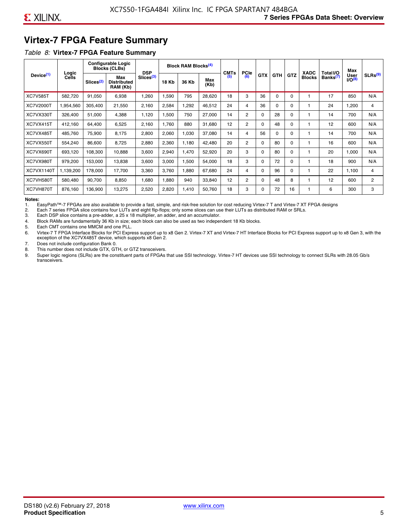### **Virtex-7 FPGA Feature Summary**

#### *Table 8:* **Virtex-7 FPGA Feature Summary**

|                       |                |                       | <b>Configurable Logic</b><br><b>Blocks (CLBs)</b> | <b>DSP</b>            |       | <b>Block RAM Blocks<sup>(4)</sup></b> |             | <b>CMTs</b> | <b>PCIe</b>    |            |            |            | <b>XADC</b>   | Total I/O            | Max                 |                     |
|-----------------------|----------------|-----------------------|---------------------------------------------------|-----------------------|-------|---------------------------------------|-------------|-------------|----------------|------------|------------|------------|---------------|----------------------|---------------------|---------------------|
| Device <sup>(1)</sup> | Logic<br>Cells | Slices <sup>(2)</sup> | Max<br><b>Distributed</b><br>RAM (Kb)             | Slices <sup>(3)</sup> | 18 Kb | 36 Kb                                 | Max<br>(Kb) | (5)         | (6)            | <b>GTX</b> | <b>GTH</b> | <b>GTZ</b> | <b>Blocks</b> | Banks <sup>(7)</sup> | User<br>$1/O^{(8)}$ | SLRs <sup>(9)</sup> |
| <b>XC7V585T</b>       | 582,720        | 91,050                | 6,938                                             | .260                  | 1,590 | 795                                   | 28,620      | 18          | 3              | 36         | $\Omega$   | $\Omega$   |               | 17                   | 850                 | N/A                 |
| XC7V2000T             | 1,954,560      | 305,400               | 21,550                                            | 2,160                 | 2,584 | ,292                                  | 46,512      | 24          | 4              | 36         | $\Omega$   | 0          |               | 24                   | 1,200               | 4                   |
| XC7VX330T             | 326,400        | 51,000                | 4,388                                             | 1,120                 | 1,500 | 750                                   | 27,000      | 14          | $\overline{2}$ | $\Omega$   | 28         | 0          |               | 14                   | 700                 | N/A                 |
| XC7VX415T             | 412,160        | 64,400                | 6,525                                             | 2,160                 | 1,760 | 880                                   | 31,680      | 12          | 2              | $\Omega$   | 48         | $\Omega$   |               | 12                   | 600                 | N/A                 |
| XC7VX485T             | 485,760        | 75,900                | 8,175                                             | 2,800                 | 2,060 | 1,030                                 | 37,080      | 14          | 4              | 56         | $\Omega$   | $\Omega$   |               | 14                   | 700                 | N/A                 |
| XC7VX550T             | 554,240        | 86,600                | 8,725                                             | 2,880                 | 2,360 | 1,180                                 | 42,480      | 20          | $\overline{2}$ | $\Omega$   | 80         | $\Omega$   |               | 16                   | 600                 | N/A                 |
| XC7VX690T             | 693,120        | 108,300               | 10,888                                            | 3,600                 | 2,940 | 1,470                                 | 52,920      | 20          | 3              | $\Omega$   | 80         | $\Omega$   |               | 20                   | 1,000               | N/A                 |
| XC7VX980T             | 979,200        | 153,000               | 13,838                                            | 3,600                 | 3,000 | <b>.500</b>                           | 54,000      | 18          | 3              | $\Omega$   | 72         | $\Omega$   |               | 18                   | 900                 | N/A                 |
| <b>XC7VX1140T</b>     | 1,139,200      | 178,000               | 17,700                                            | 3,360                 | 3,760 | .880                                  | 67,680      | 24          | 4              | $\Omega$   | 96         | $\Omega$   |               | 22                   | 1,100               | 4                   |
| XC7VH580T             | 580,480        | 90,700                | 8,850                                             | 0.680                 | 1,880 | 940                                   | 33,840      | 12          | $\overline{c}$ | $\Omega$   | 48         | 8          |               | 12                   | 600                 | $\overline{2}$      |
| XC7VH870T             | 876,160        | 136,900               | 13,275                                            | 2,520                 | 2,820 | 1,410                                 | 50,760      | 18          | 3              | $\Omega$   | 72         | 16         |               | 6                    | 300                 | 3                   |

#### **Notes:**

1. EasyPath™-7 FPGAs are also available to provide a fast, simple, and risk-free solution for cost reducing Virtex-7 T and Virtex-7 XT FPGA designs

2. Each 7 series FPGA slice contains four LUTs and eight flip-flops; only some slices can use their LUTs as distributed RAM or SRLs.

Each DSP slice contains a pre-adder, a 25 x 18 multiplier, an adder, and an accumulator.

4. Block RAMs are fundamentally 36 Kb in size; each block can also be used as two independent 18 Kb blocks.

5. Each CMT contains one MMCM and one PLL.

6. Virtex-7 T FPGA Interface Blocks for PCI Express support up to x8 Gen 2. Virtex-7 XT and Virtex-7 HT Interface Blocks for PCI Express support up to x8 Gen 3, with the exception of the XC7VX485T device, which supports x8 Gen 2.

7. Does not include configuration Bank 0.

8. This number does not include GTX, GTH, or GTZ transceivers.

9. Super logic regions (SLRs) are the constituent parts of FPGAs that use SSI technology. Virtex-7 HT devices use SSI technology to connect SLRs with 28.05 Gb/s transceivers.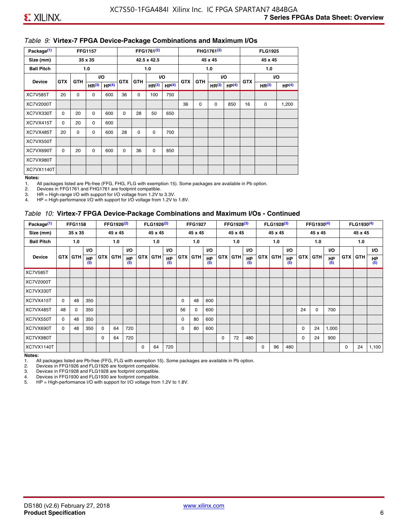#### *Table 9:* **Virtex-7 FPGA Device-Package Combinations and Maximum I/Os**

| Package <sup>(1)</sup> |            | <b>FFG1157</b> |                   |                   |            |            | FFG1761 <sup>(2)</sup> |                   |            |             | FHG1761 <sup>(2)</sup> |                   |            | <b>FLG1925</b>    |                   |
|------------------------|------------|----------------|-------------------|-------------------|------------|------------|------------------------|-------------------|------------|-------------|------------------------|-------------------|------------|-------------------|-------------------|
| Size (mm)              |            |                | 35 x 35           |                   |            |            | 42.5 x 42.5            |                   |            |             | 45 x 45                |                   |            | 45 x 45           |                   |
| <b>Ball Pitch</b>      |            |                | 1.0               |                   |            |            | 1.0                    |                   |            |             | 1.0                    |                   |            | 1.0               |                   |
| <b>Device</b>          | <b>GTX</b> | <b>GTH</b>     |                   | <b>VO</b>         | <b>GTX</b> | <b>GTH</b> |                        | I/O               | <b>GTX</b> | <b>GTH</b>  | VO.                    |                   | <b>GTX</b> |                   | VO.               |
|                        |            |                | HR <sup>(3)</sup> | HP <sup>(4)</sup> |            |            | HR <sup>(3)</sup>      | HP <sup>(4)</sup> |            |             | HR <sup>(3)</sup>      | HP <sup>(4)</sup> |            | HR <sup>(3)</sup> | HP <sup>(4)</sup> |
| <b>XC7V585T</b>        | 20         | 0              | 0                 | 600               | 36         | 0          | 100                    | 750               |            |             |                        |                   |            |                   |                   |
| XC7V2000T              |            |                |                   |                   |            |            |                        |                   | 36         | $\mathbf 0$ | 0                      | 850               | 16         | 0                 | 1,200             |
| XC7VX330T              | $\Omega$   | 20             | $\Omega$          | 600               | $\Omega$   | 28         | 50                     | 650               |            |             |                        |                   |            |                   |                   |
| XC7VX415T              | $\Omega$   | 20             | $\Omega$          | 600               |            |            |                        |                   |            |             |                        |                   |            |                   |                   |
| XC7VX485T              | 20         | 0              | 0                 | 600               | 28         | 0          | 0                      | 700               |            |             |                        |                   |            |                   |                   |
| XC7VX550T              |            |                |                   |                   |            |            |                        |                   |            |             |                        |                   |            |                   |                   |
| XC7VX690T              | $\Omega$   | 20             | $\Omega$          | 600               | $\Omega$   | 36         | $\Omega$               | 850               |            |             |                        |                   |            |                   |                   |
| XC7VX980T              |            |                |                   |                   |            |            |                        |                   |            |             |                        |                   |            |                   |                   |
| XC7VX1140T             |            |                |                   |                   |            |            |                        |                   |            |             |                        |                   |            |                   |                   |

#### **Notes:**

1. All packages listed are Pb-free (FFG, FHG, FLG with exemption 15). Some packages are available in Pb option.

2. Devices in FFG1761 and FHG1761 are footprint compatible.<br>3. HR = High-range I/O with support for I/O voltage from 1.2V to

HR = High-range I/O with support for I/O voltage from 1.2V to 3.3V.

4. HP = High-performance I/O with support for I/O voltage from 1.2V to 1.8V.

#### *Table 10:* **Virtex-7 FPGA Device-Package Combinations and Maximum I/Os - Continued**

| Package <sup>(1)</sup> |          | <b>FFG1158</b> |                  |            | FFG1926 <sup>(2)</sup> |                  |            | FLG1926 <sup>(2)</sup> |                  |    | <b>FFG1927</b> |                  |            | FFG1928 <sup>(3)</sup> |                  |            | FLG1928 <sup>(3)</sup> |                  |            | FFG1930 <sup>(4)</sup> |                  |            | $FLG1930^{(4)}$ |                  |
|------------------------|----------|----------------|------------------|------------|------------------------|------------------|------------|------------------------|------------------|----|----------------|------------------|------------|------------------------|------------------|------------|------------------------|------------------|------------|------------------------|------------------|------------|-----------------|------------------|
| Size (mm)              |          | 35 x 35        |                  |            | 45 x 45                |                  |            | 45 x 45                |                  |    | 45 x 45        |                  |            | 45 x 45                |                  |            | 45 x 45                |                  |            | 45 x 45                |                  |            | 45 x 45         |                  |
| <b>Ball Pitch</b>      |          | 1.0            |                  |            | 1.0                    |                  |            | 1.0                    |                  |    | 1.0            |                  |            | 1.0                    |                  |            | 1.0                    |                  |            | 1.0                    |                  |            | 1.0             |                  |
|                        |          |                | <b>VO</b>        |            |                        | <b>VO</b>        |            |                        | VO.              |    |                | <b>VO</b>        |            |                        | <b>VO</b>        |            |                        | <b>VO</b>        |            |                        | <b>VO</b>        |            |                 | VO.              |
| <b>Device</b>          |          | <b>GTX GTH</b> | <b>HP</b><br>(5) | <b>GTX</b> | <b>GTH</b>             | <b>HP</b><br>(5) | <b>GTX</b> | <b>GTH</b>             | <b>HP</b><br>(5) |    | <b>GTX GTH</b> | <b>HP</b><br>(5) | <b>GTX</b> | <b>GTH</b>             | <b>HP</b><br>(5) | <b>GTX</b> | <b>GTH</b>             | <b>HP</b><br>(5) | <b>GTX</b> | GTH                    | <b>HP</b><br>(5) | <b>GTX</b> | GTH             | <b>HP</b><br>(5) |
| <b>XC7V585T</b>        |          |                |                  |            |                        |                  |            |                        |                  |    |                |                  |            |                        |                  |            |                        |                  |            |                        |                  |            |                 |                  |
| XC7V2000T              |          |                |                  |            |                        |                  |            |                        |                  |    |                |                  |            |                        |                  |            |                        |                  |            |                        |                  |            |                 |                  |
| XC7VX330T              |          |                |                  |            |                        |                  |            |                        |                  |    |                |                  |            |                        |                  |            |                        |                  |            |                        |                  |            |                 |                  |
| XC7VX415T              | $\Omega$ | 48             | 350              |            |                        |                  |            |                        |                  | 0  | 48             | 600              |            |                        |                  |            |                        |                  |            |                        |                  |            |                 |                  |
| XC7VX485T              | 48       | 0              | 350              |            |                        |                  |            |                        |                  | 56 | 0              | 600              |            |                        |                  |            |                        |                  | 24         | 0                      | 700              |            |                 |                  |
| XC7VX550T              | 0        | 48             | 350              |            |                        |                  |            |                        |                  | 0  | 80             | 600              |            |                        |                  |            |                        |                  |            |                        |                  |            |                 |                  |
| XC7VX690T              | $\Omega$ | 48             | 350              | $\Omega$   | 64                     | 720              |            |                        |                  | 0  | 80             | 600              |            |                        |                  |            |                        |                  | 0          | 24                     | 1,000            |            |                 |                  |
| XC7VX980T              |          |                |                  | $\Omega$   | 64                     | 720              |            |                        |                  |    |                |                  | $\Omega$   | 72                     | 480              |            |                        |                  | 0          | 24                     | 900              |            |                 |                  |
| XC7VX1140T             |          |                |                  |            |                        |                  | $\Omega$   | 64                     | 720              |    |                |                  |            |                        |                  | $\Omega$   | 96                     | 480              |            |                        |                  | 0          | 24              | 1,100            |

**Notes:** 

1. All packages listed are Pb-free (FFG, FLG with exemption 15). Some packages are available in Pb option.<br>2. Devices in FFG1926 and FLG1926 are footprint compatible.

2. Devices in FFG1926 and FLG1926 are footprint compatible.

3. Devices in FFG1928 and FLG1928 are footprint compatible.

4. Devices in FFG1930 and FLG1930 are footprint compatible.<br>5. HP = High-performance I/O with support for I/O voltage from HP = High-performance I/O with support for I/O voltage from 1.2V to 1.8V.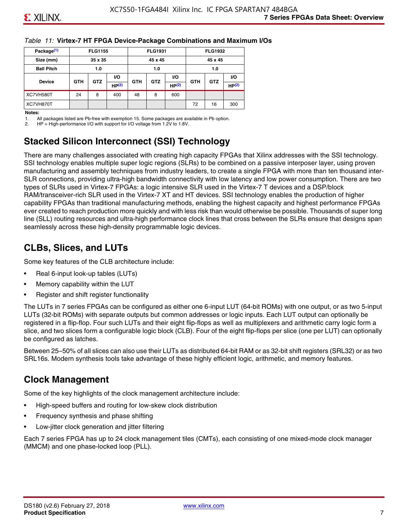#### *Table 11:* **Virtex-7 HT FPGA Device-Package Combinations and Maximum I/Os**

| Package <sup>(1)</sup> |            | <b>FLG1155</b> |            |            | <b>FLG1931</b> |            |            | <b>FLG1932</b> |       |
|------------------------|------------|----------------|------------|------------|----------------|------------|------------|----------------|-------|
| Size (mm)              |            | 35 x 35        |            |            | 45 x 45        |            |            | 45 x 45        |       |
| <b>Ball Pitch</b>      |            | 1.0<br>1.0     |            |            |                |            |            | 1.0            |       |
|                        |            | <b>GTZ</b>     | VO.<br>VO. |            |                | <b>GTZ</b> | VO.        |                |       |
| <b>Device</b>          | <b>GTH</b> |                | HP(2)      | <b>GTH</b> | <b>GTZ</b>     | HP(2)      | <b>GTH</b> |                | HP(2) |
| XC7VH580T              | 24         | 8              | 400        | 48         | 8              | 600        |            |                |       |
| XC7VH870T              |            |                |            |            |                |            | 72         | 16             | 300   |

#### **Notes:**

1. All packages listed are Pb-free with exemption 15. Some packages are available in Pb option.

2. HP = High-performance I/O with support for I/O voltage from 1.2V to 1.8V.

### **Stacked Silicon Interconnect (SSI) Technology**

There are many challenges associated with creating high capacity FPGAs that Xilinx addresses with the SSI technology. SSI technology enables multiple super logic regions (SLRs) to be combined on a passive interposer layer, using proven manufacturing and assembly techniques from industry leaders, to create a single FPGA with more than ten thousand inter-SLR connections, providing ultra-high bandwidth connectivity with low latency and low power consumption. There are two types of SLRs used in Virtex-7 FPGAs: a logic intensive SLR used in the Virtex-7 T devices and a DSP/block RAM/transceiver-rich SLR used in the Virtex-7 XT and HT devices. SSI technology enables the production of higher capability FPGAs than traditional manufacturing methods, enabling the highest capacity and highest performance FPGAs ever created to reach production more quickly and with less risk than would otherwise be possible. Thousands of super long line (SLL) routing resources and ultra-high performance clock lines that cross between the SLRs ensure that designs span seamlessly across these high-density programmable logic devices.

### **CLBs, Slices, and LUTs**

Some key features of the CLB architecture include:

- Real 6-input look-up tables (LUTs)
- Memory capability within the LUT
- Register and shift register functionality

The LUTs in 7 series FPGAs can be configured as either one 6-input LUT (64-bit ROMs) with one output, or as two 5-input LUTs (32-bit ROMs) with separate outputs but common addresses or logic inputs. Each LUT output can optionally be registered in a flip-flop. Four such LUTs and their eight flip-flops as well as multiplexers and arithmetic carry logic form a slice, and two slices form a configurable logic block (CLB). Four of the eight flip-flops per slice (one per LUT) can optionally be configured as latches.

Between 25–50% of all slices can also use their LUTs as distributed 64-bit RAM or as 32-bit shift registers (SRL32) or as two SRL16s. Modern synthesis tools take advantage of these highly efficient logic, arithmetic, and memory features.

### **Clock Management**

Some of the key highlights of the clock management architecture include:

- High-speed buffers and routing for low-skew clock distribution
- Frequency synthesis and phase shifting
- Low-jitter clock generation and jitter filtering

Each 7 series FPGA has up to 24 clock management tiles (CMTs), each consisting of one mixed-mode clock manager (MMCM) and one phase-locked loop (PLL).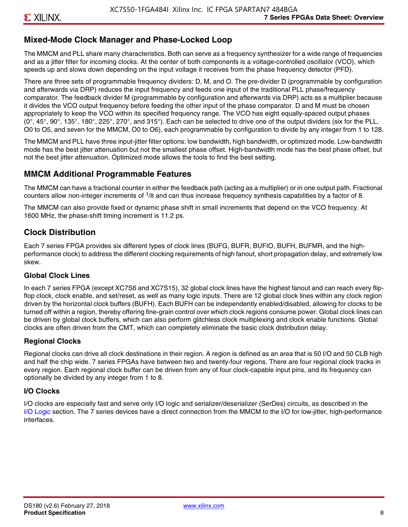### **Mixed-Mode Clock Manager and Phase-Locked Loop**

The MMCM and PLL share many characteristics. Both can serve as a frequency synthesizer for a wide range of frequencies and as a jitter filter for incoming clocks. At the center of both components is a voltage-controlled oscillator (VCO), which speeds up and slows down depending on the input voltage it receives from the phase frequency detector (PFD).

There are three sets of programmable frequency dividers: D, M, and O. The pre-divider D (programmable by configuration and afterwards via DRP) reduces the input frequency and feeds one input of the traditional PLL phase/frequency comparator. The feedback divider M (programmable by configuration and afterwards via DRP) acts as a multiplier because it divides the VCO output frequency before feeding the other input of the phase comparator. D and M must be chosen appropriately to keep the VCO within its specified frequency range. The VCO has eight equally-spaced output phases  $(0^\circ, 45^\circ, 90^\circ, 135^\circ, 180^\circ, 225^\circ, 270^\circ,$  and  $315^\circ$ ). Each can be selected to drive one of the output dividers (six for the PLL, O0 to O5, and seven for the MMCM, O0 to O6), each programmable by configuration to divide by any integer from 1 to 128.

The MMCM and PLL have three input-jitter filter options: low bandwidth, high bandwidth, or optimized mode. Low-bandwidth mode has the best jitter attenuation but not the smallest phase offset. High-bandwidth mode has the best phase offset, but not the best jitter attenuation. Optimized mode allows the tools to find the best setting.

### **MMCM Additional Programmable Features**

The MMCM can have a fractional counter in either the feedback path (acting as a multiplier) or in one output path. Fractional counters allow non-integer increments of  $1/8$  and can thus increase frequency synthesis capabilities by a factor of 8.

The MMCM can also provide fixed or dynamic phase shift in small increments that depend on the VCO frequency. At 1600 MHz, the phase-shift timing increment is 11.2 ps.

### **Clock Distribution**

Each 7 series FPGA provides six different types of clock lines (BUFG, BUFR, BUFIO, BUFH, BUFMR, and the highperformance clock) to address the different clocking requirements of high fanout, short propagation delay, and extremely low skew.

#### **Global Clock Lines**

In each 7 series FPGA (except XC7S6 and XC7S15), 32 global clock lines have the highest fanout and can reach every flipflop clock, clock enable, and set/reset, as well as many logic inputs. There are 12 global clock lines within any clock region driven by the horizontal clock buffers (BUFH). Each BUFH can be independently enabled/disabled, allowing for clocks to be turned off within a region, thereby offering fine-grain control over which clock regions consume power. Global clock lines can be driven by global clock buffers, which can also perform glitchless clock multiplexing and clock enable functions. Global clocks are often driven from the CMT, which can completely eliminate the basic clock distribution delay.

#### **Regional Clocks**

Regional clocks can drive all clock destinations in their region. A region is defined as an area that is 50 I/O and 50 CLB high and half the chip wide. 7 series FPGAs have between two and twenty-four regions. There are four regional clock tracks in every region. Each regional clock buffer can be driven from any of four clock-capable input pins, and its frequency can optionally be divided by any integer from 1 to 8.

#### **I/O Clocks**

I/O clocks are especially fast and serve only I/O logic and serializer/deserializer (SerDes) circuits, as described in the I/O Logic section. The 7 series devices have a direct connection from the MMCM to the I/O for low-jitter, high-performance interfaces.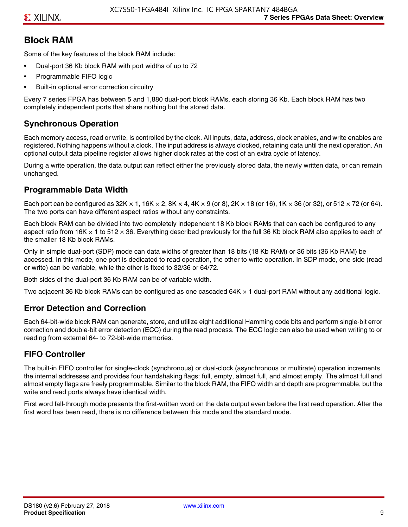### **Block RAM**

Some of the key features of the block RAM include:

- Dual-port 36 Kb block RAM with port widths of up to 72
- Programmable FIFO logic
- Built-in optional error correction circuitry

Every 7 series FPGA has between 5 and 1,880 dual-port block RAMs, each storing 36 Kb. Each block RAM has two completely independent ports that share nothing but the stored data.

### **Synchronous Operation**

Each memory access, read or write, is controlled by the clock. All inputs, data, address, clock enables, and write enables are registered. Nothing happens without a clock. The input address is always clocked, retaining data until the next operation. An optional output data pipeline register allows higher clock rates at the cost of an extra cycle of latency.

During a write operation, the data output can reflect either the previously stored data, the newly written data, or can remain unchanged.

#### **Programmable Data Width**

Each port can be configured as 32K  $\times$  1, 16K  $\times$  2, 8K  $\times$  4, 4K  $\times$  9 (or 8), 2K  $\times$  18 (or 16), 1K  $\times$  36 (or 32), or 512  $\times$  72 (or 64). The two ports can have different aspect ratios without any constraints.

Each block RAM can be divided into two completely independent 18 Kb block RAMs that can each be configured to any aspect ratio from 16K  $\times$  1 to 512  $\times$  36. Everything described previously for the full 36 Kb block RAM also applies to each of the smaller 18 Kb block RAMs.

Only in simple dual-port (SDP) mode can data widths of greater than 18 bits (18 Kb RAM) or 36 bits (36 Kb RAM) be accessed. In this mode, one port is dedicated to read operation, the other to write operation. In SDP mode, one side (read or write) can be variable, while the other is fixed to 32/36 or 64/72.

Both sides of the dual-port 36 Kb RAM can be of variable width.

Two adjacent 36 Kb block RAMs can be configured as one cascaded 64K × 1 dual-port RAM without any additional logic.

#### **Error Detection and Correction**

Each 64-bit-wide block RAM can generate, store, and utilize eight additional Hamming code bits and perform single-bit error correction and double-bit error detection (ECC) during the read process. The ECC logic can also be used when writing to or reading from external 64- to 72-bit-wide memories.

#### **FIFO Controller**

The built-in FIFO controller for single-clock (synchronous) or dual-clock (asynchronous or multirate) operation increments the internal addresses and provides four handshaking flags: full, empty, almost full, and almost empty. The almost full and almost empty flags are freely programmable. Similar to the block RAM, the FIFO width and depth are programmable, but the write and read ports always have identical width.

First word fall-through mode presents the first-written word on the data output even before the first read operation. After the first word has been read, there is no difference between this mode and the standard mode.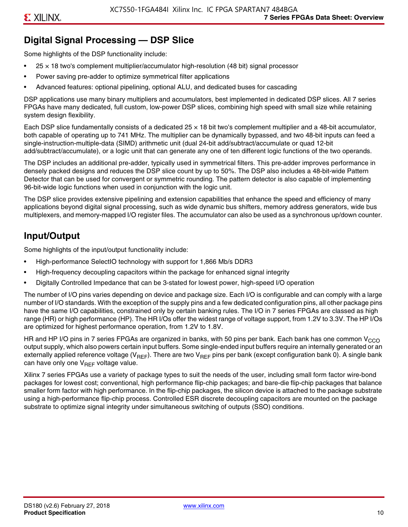### **Digital Signal Processing — DSP Slice**

Some highlights of the DSP functionality include:

- $25 \times 18$  two's complement multiplier/accumulator high-resolution (48 bit) signal processor
- Power saving pre-adder to optimize symmetrical filter applications
- Advanced features: optional pipelining, optional ALU, and dedicated buses for cascading

DSP applications use many binary multipliers and accumulators, best implemented in dedicated DSP slices. All 7 series FPGAs have many dedicated, full custom, low-power DSP slices, combining high speed with small size while retaining system design flexibility.

Each DSP slice fundamentally consists of a dedicated 25 × 18 bit two's complement multiplier and a 48-bit accumulator, both capable of operating up to 741 MHz. The multiplier can be dynamically bypassed, and two 48-bit inputs can feed a single-instruction-multiple-data (SIMD) arithmetic unit (dual 24-bit add/subtract/accumulate or quad 12-bit add/subtract/accumulate), or a logic unit that can generate any one of ten different logic functions of the two operands.

The DSP includes an additional pre-adder, typically used in symmetrical filters. This pre-adder improves performance in densely packed designs and reduces the DSP slice count by up to 50%. The DSP also includes a 48-bit-wide Pattern Detector that can be used for convergent or symmetric rounding. The pattern detector is also capable of implementing 96-bit-wide logic functions when used in conjunction with the logic unit.

The DSP slice provides extensive pipelining and extension capabilities that enhance the speed and efficiency of many applications beyond digital signal processing, such as wide dynamic bus shifters, memory address generators, wide bus multiplexers, and memory-mapped I/O register files. The accumulator can also be used as a synchronous up/down counter.

### **Input/Output**

Some highlights of the input/output functionality include:

- High-performance SelectIO technology with support for 1,866 Mb/s DDR3
- High-frequency decoupling capacitors within the package for enhanced signal integrity
- Digitally Controlled Impedance that can be 3-stated for lowest power, high-speed I/O operation

The number of I/O pins varies depending on device and package size. Each I/O is configurable and can comply with a large number of I/O standards. With the exception of the supply pins and a few dedicated configuration pins, all other package pins have the same I/O capabilities, constrained only by certain banking rules. The I/O in 7 series FPGAs are classed as high range (HR) or high performance (HP). The HR I/Os offer the widest range of voltage support, from 1.2V to 3.3V. The HP I/Os are optimized for highest performance operation, from 1.2V to 1.8V.

HR and HP I/O pins in 7 series FPGAs are organized in banks, with 50 pins per bank. Each bank has one common V<sub>CCO</sub> output supply, which also powers certain input buffers. Some single-ended input buffers require an internally generated or an externally applied reference voltage ( $V_{RFF}$ ). There are two  $V_{RFF}$  pins per bank (except configuration bank 0). A single bank can have only one  $V_{\text{RFF}}$  voltage value.

Xilinx 7 series FPGAs use a variety of package types to suit the needs of the user, including small form factor wire-bond packages for lowest cost; conventional, high performance flip-chip packages; and bare-die flip-chip packages that balance smaller form factor with high performance. In the flip-chip packages, the silicon device is attached to the package substrate using a high-performance flip-chip process. Controlled ESR discrete decoupling capacitors are mounted on the package substrate to optimize signal integrity under simultaneous switching of outputs (SSO) conditions.

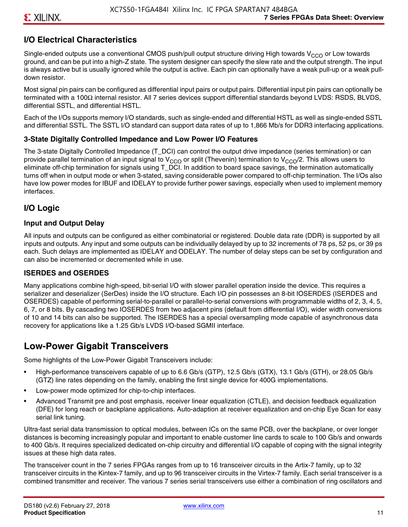### **I/O Electrical Characteristics**

Single-ended outputs use a conventional CMOS push/pull output structure driving High towards V<sub>CCO</sub> or Low towards ground, and can be put into a high-Z state. The system designer can specify the slew rate and the output strength. The input is always active but is usually ignored while the output is active. Each pin can optionally have a weak pull-up or a weak pulldown resistor.

Most signal pin pairs can be configured as differential input pairs or output pairs. Differential input pin pairs can optionally be terminated with a 100Ω internal resistor. All 7 series devices support differential standards beyond LVDS: RSDS, BLVDS, differential SSTL, and differential HSTL.

Each of the I/Os supports memory I/O standards, such as single-ended and differential HSTL as well as single-ended SSTL and differential SSTL. The SSTL I/O standard can support data rates of up to 1,866 Mb/s for DDR3 interfacing applications.

#### **3-State Digitally Controlled Impedance and Low Power I/O Features**

The 3-state Digitally Controlled Impedance (T\_DCI) can control the output drive impedance (series termination) or can provide parallel termination of an input signal to V<sub>CCO</sub> or split (Thevenin) termination to V<sub>CCO</sub>/2. This allows users to eliminate off-chip termination for signals using T\_DCI. In addition to board space savings, the termination automatically turns off when in output mode or when 3-stated, saving considerable power compared to off-chip termination. The I/Os also have low power modes for IBUF and IDELAY to provide further power savings, especially when used to implement memory interfaces.

### **I/O Logic**

#### **Input and Output Delay**

All inputs and outputs can be configured as either combinatorial or registered. Double data rate (DDR) is supported by all inputs and outputs. Any input and some outputs can be individually delayed by up to 32 increments of 78 ps, 52 ps, or 39 ps each. Such delays are implemented as IDELAY and ODELAY. The number of delay steps can be set by configuration and can also be incremented or decremented while in use.

#### **ISERDES and OSERDES**

Many applications combine high-speed, bit-serial I/O with slower parallel operation inside the device. This requires a serializer and deserializer (SerDes) inside the I/O structure. Each I/O pin possesses an 8-bit IOSERDES (ISERDES and OSERDES) capable of performing serial-to-parallel or parallel-to-serial conversions with programmable widths of 2, 3, 4, 5, 6, 7, or 8 bits. By cascading two IOSERDES from two adjacent pins (default from differential I/O), wider width conversions of 10 and 14 bits can also be supported. The ISERDES has a special oversampling mode capable of asynchronous data recovery for applications like a 1.25 Gb/s LVDS I/O-based SGMII interface.

### **Low-Power Gigabit Transceivers**

Some highlights of the Low-Power Gigabit Transceivers include:

- High-performance transceivers capable of up to 6.6 Gb/s (GTP), 12.5 Gb/s (GTX), 13.1 Gb/s (GTH), or 28.05 Gb/s (GTZ) line rates depending on the family, enabling the first single device for 400G implementations.
- Low-power mode optimized for chip-to-chip interfaces.
- Advanced Transmit pre and post emphasis, receiver linear equalization (CTLE), and decision feedback equalization (DFE) for long reach or backplane applications. Auto-adaption at receiver equalization and on-chip Eye Scan for easy serial link tuning.

Ultra-fast serial data transmission to optical modules, between ICs on the same PCB, over the backplane, or over longer distances is becoming increasingly popular and important to enable customer line cards to scale to 100 Gb/s and onwards to 400 Gb/s. It requires specialized dedicated on-chip circuitry and differential I/O capable of coping with the signal integrity issues at these high data rates.

The transceiver count in the 7 series FPGAs ranges from up to 16 transceiver circuits in the Artix-7 family, up to 32 transceiver circuits in the Kintex-7 family, and up to 96 transceiver circuits in the Virtex-7 family. Each serial transceiver is a combined transmitter and receiver. The various 7 series serial transceivers use either a combination of ring oscillators and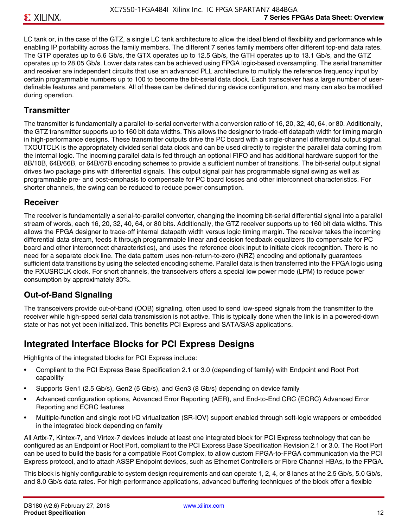LC tank or, in the case of the GTZ, a single LC tank architecture to allow the ideal blend of flexibility and performance while enabling IP portability across the family members. The different 7 series family members offer different top-end data rates. The GTP operates up to 6.6 Gb/s, the GTX operates up to 12.5 Gb/s, the GTH operates up to 13.1 Gb/s, and the GTZ operates up to 28.05 Gb/s. Lower data rates can be achieved using FPGA logic-based oversampling. The serial transmitter and receiver are independent circuits that use an advanced PLL architecture to multiply the reference frequency input by certain programmable numbers up to 100 to become the bit-serial data clock. Each transceiver has a large number of userdefinable features and parameters. All of these can be defined during device configuration, and many can also be modified during operation.

#### **Transmitter**

The transmitter is fundamentally a parallel-to-serial converter with a conversion ratio of 16, 20, 32, 40, 64, or 80. Additionally, the GTZ transmitter supports up to 160 bit data widths. This allows the designer to trade-off datapath width for timing margin in high-performance designs. These transmitter outputs drive the PC board with a single-channel differential output signal. TXOUTCLK is the appropriately divided serial data clock and can be used directly to register the parallel data coming from the internal logic. The incoming parallel data is fed through an optional FIFO and has additional hardware support for the 8B/10B, 64B/66B, or 64B/67B encoding schemes to provide a sufficient number of transitions. The bit-serial output signal drives two package pins with differential signals. This output signal pair has programmable signal swing as well as programmable pre- and post-emphasis to compensate for PC board losses and other interconnect characteristics. For shorter channels, the swing can be reduced to reduce power consumption.

#### **Receiver**

The receiver is fundamentally a serial-to-parallel converter, changing the incoming bit-serial differential signal into a parallel stream of words, each 16, 20, 32, 40, 64, or 80 bits. Additionally, the GTZ receiver supports up to 160 bit data widths. This allows the FPGA designer to trade-off internal datapath width versus logic timing margin. The receiver takes the incoming differential data stream, feeds it through programmable linear and decision feedback equalizers (to compensate for PC board and other interconnect characteristics), and uses the reference clock input to initiate clock recognition. There is no need for a separate clock line. The data pattern uses non-return-to-zero (NRZ) encoding and optionally guarantees sufficient data transitions by using the selected encoding scheme. Parallel data is then transferred into the FPGA logic using the RXUSRCLK clock. For short channels, the transceivers offers a special low power mode (LPM) to reduce power consumption by approximately 30%.

#### **Out-of-Band Signaling**

The transceivers provide out-of-band (OOB) signaling, often used to send low-speed signals from the transmitter to the receiver while high-speed serial data transmission is not active. This is typically done when the link is in a powered-down state or has not yet been initialized. This benefits PCI Express and SATA/SAS applications.

### **Integrated Interface Blocks for PCI Express Designs**

Highlights of the integrated blocks for PCI Express include:

- Compliant to the PCI Express Base Specification 2.1 or 3.0 (depending of family) with Endpoint and Root Port capability
- Supports Gen1 (2.5 Gb/s), Gen2 (5 Gb/s), and Gen3 (8 Gb/s) depending on device family
- Advanced configuration options, Advanced Error Reporting (AER), and End-to-End CRC (ECRC) Advanced Error Reporting and ECRC features
- Multiple-function and single root I/O virtualization (SR-IOV) support enabled through soft-logic wrappers or embedded in the integrated block depending on family

All Artix-7, Kintex-7, and Virtex-7 devices include at least one integrated block for PCI Express technology that can be configured as an Endpoint or Root Port, compliant to the PCI Express Base Specification Revision 2.1 or 3.0. The Root Port can be used to build the basis for a compatible Root Complex, to allow custom FPGA-to-FPGA communication via the PCI Express protocol, and to attach ASSP Endpoint devices, such as Ethernet Controllers or Fibre Channel HBAs, to the FPGA.

This block is highly configurable to system design requirements and can operate 1, 2, 4, or 8 lanes at the 2.5 Gb/s, 5.0 Gb/s, and 8.0 Gb/s data rates. For high-performance applications, advanced buffering techniques of the block offer a flexible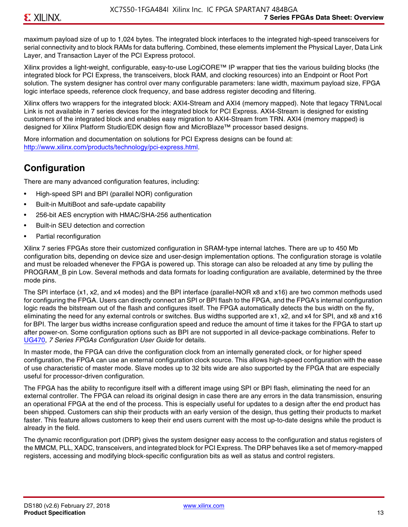maximum payload size of up to 1,024 bytes. The integrated block interfaces to the integrated high-speed transceivers for serial connectivity and to block RAMs for data buffering. Combined, these elements implement the Physical Layer, Data Link Layer, and Transaction Layer of the PCI Express protocol.

Xilinx provides a light-weight, configurable, easy-to-use LogiCORE™ IP wrapper that ties the various building blocks (the integrated block for PCI Express, the transceivers, block RAM, and clocking resources) into an Endpoint or Root Port solution. The system designer has control over many configurable parameters: lane width, maximum payload size, FPGA logic interface speeds, reference clock frequency, and base address register decoding and filtering.

Xilinx offers two wrappers for the integrated block: AXI4-Stream and AXI4 (memory mapped). Note that legacy TRN/Local Link is not available in 7 series devices for the integrated block for PCI Express. AXI4-Stream is designed for existing customers of the integrated block and enables easy migration to AXI4-Stream from TRN. AXI4 (memory mapped) is designed for Xilinx Platform Studio/EDK design flow and MicroBlaze™ processor based designs.

More information and documentation on solutions for PCI Express designs can be found at: <http://www.xilinx.com/products/technology/pci-express.html>.

### **Configuration**

There are many advanced configuration features, including:

- High-speed SPI and BPI (parallel NOR) configuration
- Built-in MultiBoot and safe-update capability
- 256-bit AES encryption with HMAC/SHA-256 authentication
- Built-in SEU detection and correction
- Partial reconfiguration

Xilinx 7 series FPGAs store their customized configuration in SRAM-type internal latches. There are up to 450 Mb configuration bits, depending on device size and user-design implementation options. The configuration storage is volatile and must be reloaded whenever the FPGA is powered up. This storage can also be reloaded at any time by pulling the PROGRAM B pin Low. Several methods and data formats for loading configuration are available, determined by the three mode pins.

The SPI interface (x1, x2, and x4 modes) and the BPI interface (parallel-NOR x8 and x16) are two common methods used for configuring the FPGA. Users can directly connect an SPI or BPI flash to the FPGA, and the FPGA's internal configuration logic reads the bitstream out of the flash and configures itself. The FPGA automatically detects the bus width on the fly, eliminating the need for any external controls or switches. Bus widths supported are x1, x2, and x4 for SPI, and x8 and x16 for BPI. The larger bus widths increase configuration speed and reduce the amount of time it takes for the FPGA to start up after power-on. Some configuration options such as BPI are not supported in all device-package combinations. Refer to [UG470,](http://www.xilinx.com/support/documentation/user_guides/ug470_7Series_Config.pdf) *7 Series FPGAs Configuration User Guide* for details.

In master mode, the FPGA can drive the configuration clock from an internally generated clock, or for higher speed configuration, the FPGA can use an external configuration clock source. This allows high-speed configuration with the ease of use characteristic of master mode. Slave modes up to 32 bits wide are also supported by the FPGA that are especially useful for processor-driven configuration.

The FPGA has the ability to reconfigure itself with a different image using SPI or BPI flash, eliminating the need for an external controller. The FPGA can reload its original design in case there are any errors in the data transmission, ensuring an operational FPGA at the end of the process. This is especially useful for updates to a design after the end product has been shipped. Customers can ship their products with an early version of the design, thus getting their products to market faster. This feature allows customers to keep their end users current with the most up-to-date designs while the product is already in the field.

The dynamic reconfiguration port (DRP) gives the system designer easy access to the configuration and status registers of the MMCM, PLL, XADC, transceivers, and integrated block for PCI Express. The DRP behaves like a set of memory-mapped registers, accessing and modifying block-specific configuration bits as well as status and control registers.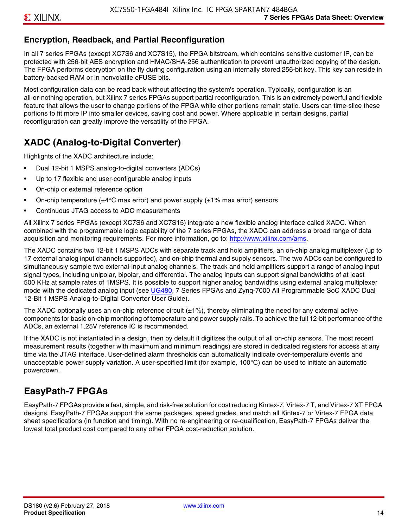### **Encryption, Readback, and Partial Reconfiguration**

In all 7 series FPGAs (except XC7S6 and XC7S15), the FPGA bitstream, which contains sensitive customer IP, can be protected with 256-bit AES encryption and HMAC/SHA-256 authentication to prevent unauthorized copying of the design. The FPGA performs decryption on the fly during configuration using an internally stored 256-bit key. This key can reside in battery-backed RAM or in nonvolatile eFUSE bits.

Most configuration data can be read back without affecting the system's operation. Typically, configuration is an all-or-nothing operation, but Xilinx 7 series FPGAs support partial reconfiguration. This is an extremely powerful and flexible feature that allows the user to change portions of the FPGA while other portions remain static. Users can time-slice these portions to fit more IP into smaller devices, saving cost and power. Where applicable in certain designs, partial reconfiguration can greatly improve the versatility of the FPGA.

### **XADC (Analog-to-Digital Converter)**

Highlights of the XADC architecture include:

- Dual 12-bit 1 MSPS analog-to-digital converters (ADCs)
- Up to 17 flexible and user-configurable analog inputs
- On-chip or external reference option
- On-chip temperature ( $\pm 4^{\circ}$ C max error) and power supply ( $\pm 1\%$  max error) sensors
- Continuous JTAG access to ADC measurements

All Xilinx 7 series FPGAs (except XC7S6 and XC7S15) integrate a new flexible analog interface called XADC. When combined with the programmable logic capability of the 7 series FPGAs, the XADC can address a broad range of data acquisition and monitoring requirements. For more information, go to: [http://www.xilinx.com/ams.](http://www.xilinx.com/ams)

The XADC contains two 12-bit 1 MSPS ADCs with separate track and hold amplifiers, an on-chip analog multiplexer (up to 17 external analog input channels supported), and on-chip thermal and supply sensors. The two ADCs can be configured to simultaneously sample two external-input analog channels. The track and hold amplifiers support a range of analog input signal types, including unipolar, bipolar, and differential. The analog inputs can support signal bandwidths of at least 500 KHz at sample rates of 1MSPS. It is possible to support higher analog bandwidths using external analog multiplexer mode with the dedicated analog input (see [UG480](http://www.xilinx.com/support/documentation/user_guides/ug480_7Series_XADC.pdf), 7 Series FPGAs and Zynq-7000 All Programmable SoC XADC Dual 12-Bit 1 MSPS Analog-to-Digital Converter User Guide)*.*

The XADC optionally uses an on-chip reference circuit  $(\pm 1\%)$ , thereby eliminating the need for any external active components for basic on-chip monitoring of temperature and power supply rails. To achieve the full 12-bit performance of the ADCs, an external 1.25V reference IC is recommended.

If the XADC is not instantiated in a design, then by default it digitizes the output of all on-chip sensors. The most recent measurement results (together with maximum and minimum readings) are stored in dedicated registers for access at any time via the JTAG interface. User-defined alarm thresholds can automatically indicate over-temperature events and unacceptable power supply variation. A user-specified limit (for example, 100°C) can be used to initiate an automatic powerdown.

### **EasyPath-7 FPGAs**

EasyPath-7 FPGAs provide a fast, simple, and risk-free solution for cost reducing Kintex-7, Virtex-7 T, and Virtex-7 XT FPGA designs. EasyPath-7 FPGAs support the same packages, speed grades, and match all Kintex-7 or Virtex-7 FPGA data sheet specifications (in function and timing). With no re-engineering or re-qualification, EasyPath-7 FPGAs deliver the lowest total product cost compared to any other FPGA cost-reduction solution.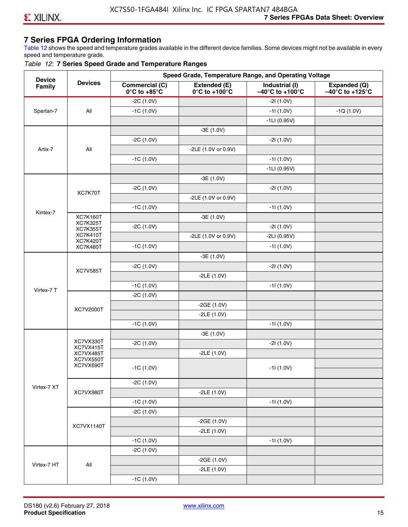#### **7 Series FPGA Ordering Information**

Table 12 shows the speed and temperature grades available in the different device families. Some devices might not be available in every speed and temperature grade.

#### *Table 12:* **7 Series Speed Grade and Temperature Ranges**

| <b>Device</b> |                                    |                                                        |                                                    | Speed Grade, Temperature Range, and Operating Voltage  |                                                      |
|---------------|------------------------------------|--------------------------------------------------------|----------------------------------------------------|--------------------------------------------------------|------------------------------------------------------|
| Family        | <b>Devices</b>                     | <b>Commercial (C)</b><br>$0^\circ$ C to +85 $^\circ$ C | Extended (E)<br>$0^{\circ}$ C to +100 $^{\circ}$ C | Industrial (I)<br>$-40^{\circ}$ C to +100 $^{\circ}$ C | Expanded (Q)<br>$-40^{\circ}$ C to +125 $^{\circ}$ C |
|               |                                    | $-2C(1.0V)$                                            |                                                    | $-21(1.0V)$                                            |                                                      |
| Spartan-7     | All                                | $-1C(1.0V)$                                            |                                                    | $-11(1.0V)$                                            | $-1Q(1.0V)$                                          |
|               |                                    |                                                        |                                                    | $-1LI(0.95V)$                                          |                                                      |
|               |                                    |                                                        | $-3E(1.0V)$                                        |                                                        |                                                      |
|               |                                    | $-2C(1.0V)$                                            |                                                    | $-21(1.0V)$                                            |                                                      |
| Artix-7       | All                                |                                                        | -2LE (1.0V or 0.9V)                                |                                                        |                                                      |
|               |                                    | $-1C(1.0V)$                                            |                                                    | $-11(1.0V)$                                            |                                                      |
|               |                                    |                                                        |                                                    | $-1LI(0.95V)$                                          |                                                      |
|               |                                    |                                                        | $-3E(1.0V)$                                        |                                                        |                                                      |
|               |                                    | $-2C(1.0V)$                                            |                                                    | $-21(1.0V)$                                            |                                                      |
|               | XC7K70T                            |                                                        | -2LE (1.0V or 0.9V)                                |                                                        |                                                      |
|               |                                    | $-1C(1.0V)$                                            |                                                    | $-11(1.0V)$                                            |                                                      |
| Kintex-7      | <b>XC7K160T</b>                    |                                                        | $-3E(1.0V)$                                        |                                                        |                                                      |
|               | <b>XC7K325T</b><br><b>XC7K355T</b> | $-2C(1.0V)$                                            |                                                    | $-21(1.0V)$                                            |                                                      |
|               | <b>XC7K410T</b>                    |                                                        | -2LE (1.0V or 0.9V)                                | $-2LI(0.95V)$                                          |                                                      |
|               | <b>XC7K420T</b><br><b>XC7K480T</b> | $-1C(1.0V)$                                            |                                                    | $-11(1.0V)$                                            |                                                      |
|               |                                    |                                                        | $-3E(1.0V)$                                        |                                                        |                                                      |
|               |                                    | $-2C(1.0V)$                                            |                                                    | $-21(1.0V)$                                            |                                                      |
|               | <b>XC7V585T</b>                    |                                                        | $-2LE(1.0V)$                                       |                                                        |                                                      |
|               |                                    | $-1C(1.0V)$                                            |                                                    | $-11(1.0V)$                                            |                                                      |
| Virtex-7 T    |                                    | $-2C(1.0V)$                                            |                                                    |                                                        |                                                      |
|               |                                    |                                                        | $-2GE(1.0V)$                                       |                                                        |                                                      |
|               | XC7V2000T                          |                                                        | $-2LE(1.0V)$                                       |                                                        |                                                      |
|               |                                    | $-1C(1.0V)$                                            |                                                    | $-11(1.0V)$                                            |                                                      |
|               |                                    |                                                        | $-3E(1.0V)$                                        |                                                        |                                                      |
|               | XC7VX330T                          | $-2C(1.0V)$                                            |                                                    | $-21(1.0V)$                                            |                                                      |
|               | XC7VX415T<br>XC7VX485T             |                                                        | $-2LE(1.0V)$                                       |                                                        |                                                      |
|               | XC7VX550T<br>XC7VX690T             |                                                        |                                                    |                                                        |                                                      |
|               |                                    | $-1C(1.0V)$                                            |                                                    | -11 (1.0V)                                             |                                                      |
|               |                                    | $-2C(1.0V)$                                            |                                                    |                                                        |                                                      |
| Virtex-7 XT   | XC7VX980T                          |                                                        | $-2LE(1.0V)$                                       |                                                        |                                                      |
|               |                                    | $-1C(1.0V)$                                            |                                                    | $-11(1.0V)$                                            |                                                      |
|               |                                    | $-2C(1.0V)$                                            |                                                    |                                                        |                                                      |
|               |                                    |                                                        | $-2GE(1.0V)$                                       |                                                        |                                                      |
|               | XC7VX1140T                         |                                                        | $-2LE(1.0V)$                                       |                                                        |                                                      |
|               |                                    | $-1C(1.0V)$                                            |                                                    | $-11(1.0V)$                                            |                                                      |
|               |                                    | $-2C(1.0V)$                                            |                                                    |                                                        |                                                      |
|               |                                    |                                                        | $-2GE(1.0V)$                                       |                                                        |                                                      |
| Virtex-7 HT   | All                                |                                                        | $-2LE(1.0V)$                                       |                                                        |                                                      |
|               |                                    | $-1C(1.0V)$                                            |                                                    |                                                        |                                                      |
|               |                                    |                                                        |                                                    |                                                        |                                                      |

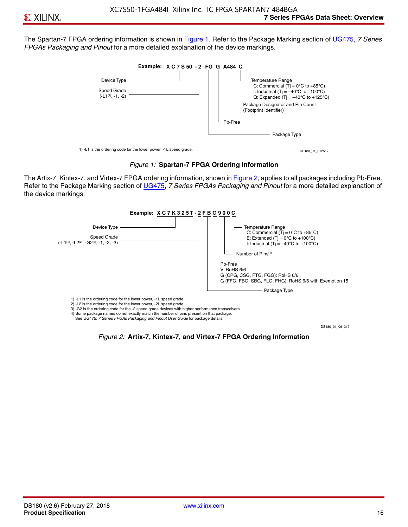The Spartan-7 FPGA ordering information is shown in Figure 1. Refer to the Package Marking section of [UG475,](http://www.xilinx.com/support/documentation/user_guides/ug475_7Series_Pkg_Pinout.pdf) *7 Series FPGAs Packaging and Pinout* for a more detailed explanation of the device markings.





The Artix-7, Kintex-7, and Virtex-7 FPGA ordering information, shown in Figure 2, applies to all packages including Pb-Free. Refer to the Package Marking section of [UG475](http://www.xilinx.com/support/documentation/user_guides/ug475_7Series_Pkg_Pinout.pdf), *7 Series FPGAs Packaging and Pinout* for a more detailed explanation of the device markings.



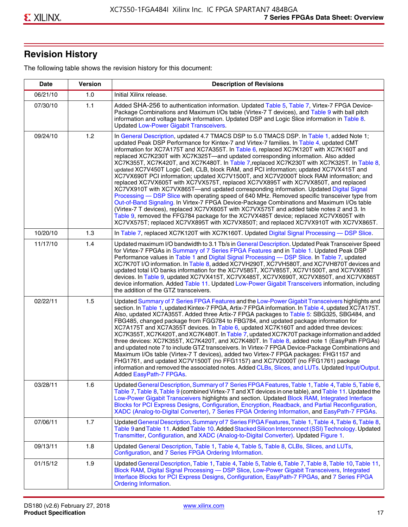## **Revision History**

The following table shows the revision history for this document:

| <b>Date</b> | <b>Version</b> | <b>Description of Revisions</b>                                                                                                                                                                                                                                                                                                                                                                                                                                                                                                                                                                                                                                                                                                                                                                                                                                                                                                                                                                                                                                                                                                                                                                                                                                                                                       |
|-------------|----------------|-----------------------------------------------------------------------------------------------------------------------------------------------------------------------------------------------------------------------------------------------------------------------------------------------------------------------------------------------------------------------------------------------------------------------------------------------------------------------------------------------------------------------------------------------------------------------------------------------------------------------------------------------------------------------------------------------------------------------------------------------------------------------------------------------------------------------------------------------------------------------------------------------------------------------------------------------------------------------------------------------------------------------------------------------------------------------------------------------------------------------------------------------------------------------------------------------------------------------------------------------------------------------------------------------------------------------|
| 06/21/10    | 1.0            | Initial Xilinx release.                                                                                                                                                                                                                                                                                                                                                                                                                                                                                                                                                                                                                                                                                                                                                                                                                                                                                                                                                                                                                                                                                                                                                                                                                                                                                               |
| 07/30/10    | 1.1            | Added SHA-256 to authentication information. Updated Table 5, Table 7, Virtex-7 FPGA Device-<br>Package Combinations and Maximum I/Os table (Virtex-7 T devices), and Table 9 with ball pitch<br>information and voltage bank information. Updated DSP and Logic Slice information in Table 8.<br><b>Updated Low-Power Gigabit Transceivers.</b>                                                                                                                                                                                                                                                                                                                                                                                                                                                                                                                                                                                                                                                                                                                                                                                                                                                                                                                                                                      |
| 09/24/10    | 1.2            | In General Description, updated 4.7 TMACS DSP to 5.0 TMACS DSP. In Table 1, added Note 1;<br>updated Peak DSP Performance for Kintex-7 and Virtex-7 families. In Table 4, updated CMT<br>information for XC7A175T and XC7A355T. In Table 6, replaced XC7K120T with XC7K160T and<br>replaced XC7K230T with XC7K325T-and updated corresponding information. Also added<br>XC7K355T, XC7K420T, and XC7K480T. In Table 7, replaced XC7K230T with XC7K325T. In Table 8,<br>updated XC7V450T Logic Cell, CLB, block RAM, and PCI information; updated XC7VX415T and<br>XC7VX690T PCI information; updated XC7V1500T, and XC7V2000T block RAM information; and<br>replaced XC7VX605T with XC7VX575T, replaced XC7VX895T with XC7VX850T, and replaced<br>XC7VX910T with XC7VX865T-and updated corresponding information. Updated Digital Signal<br>Processing - DSP Slice with operating speed of 640 MHz. Removed specific transceiver type from<br>Out-of-Band Signaling. In Virtex-7 FPGA Device-Package Combinations and Maximum I/Os table<br>(Virtex-7 T devices), replaced XC7VX605T with XC7VX575T and added table notes 2 and 3. In<br>Table 9, removed the FFG784 package for the XC7VX485T device; replaced XC7VX605T with<br>XC7VX575T; replaced XC7VX895T with XC7VX850T; and replaced XC7VX910T with XC7VX865T. |
| 10/20/10    | 1.3            | In Table 7, replaced XC7K120T with XC7K160T. Updated Digital Signal Processing - DSP Slice.                                                                                                                                                                                                                                                                                                                                                                                                                                                                                                                                                                                                                                                                                                                                                                                                                                                                                                                                                                                                                                                                                                                                                                                                                           |
| 11/17/10    | 1.4            | Updated maximum I/O bandwidth to 3.1 Tb/s in General Description. Updated Peak Transceiver Speed<br>for Virtex-7 FPGAs in Summary of 7 Series FPGA Features and in Table 1. Updated Peak DSP<br>Performance values in Table 1 and Digital Signal Processing - DSP Slice. In Table 7, updated<br>XC7K70T I/O information. In Table 8, added XC7VH290T, XC7VH580T, and XC7VH870T devices and<br>updated total I/O banks information for the XC7V585T, XC7V855T, XC7V1500T, and XC7VX865T<br>devices. In Table 9, updated XC7VX415T, XC7VX485T, XC7VX690T, XC7VX850T, and XC7VX865T<br>device information. Added Table 11. Updated Low-Power Gigabit Transceivers information, including<br>the addition of the GTZ transceivers.                                                                                                                                                                                                                                                                                                                                                                                                                                                                                                                                                                                        |
| 02/22/11    | 1.5            | Updated Summary of 7 Series FPGA Features and the Low-Power Gigabit Transceivers highlights and<br>section. In Table 1, updated Kintex-7 FPGA, Artix-7 FPGA information. In Table 4, updated XC7A175T.<br>Also, updated XC7A355T. Added three Artix-7 FPGA packages to Table 5: SBG325, SBG484, and<br>FBG485, changed package from FGG784 to FBG784, and updated package information for<br>XC7A175T and XC7A355T devices. In Table 6, updated XC7K160T and added three devices:<br>XC7K355T, XC7K420T, and XC7K480T. In Table 7, updated XC7K70T package information and added<br>three devices: XC7K355T, XC7K420T, and XC7K480T. In Table 8, added note 1 (EasyPath FPGAs)<br>and updated note 7 to include GTZ transceivers. In Virtex-7 FPGA Device-Package Combinations and<br>Maximum I/Os table (Virtex-7 T devices), added two Virtex-7 FPGA packages: FHG1157 and<br>FHG1761, and updated XC7V1500T (no FFG1157) and XC7V2000T (no FFG1761) package<br>information and removed the associated notes. Added CLBs, Slices, and LUTs. Updated Input/Output.<br>Added EasyPath-7 FPGAs.                                                                                                                                                                                                                        |
| 03/28/11    | 1.6            | Updated General Description, Summary of 7 Series FPGA Features, Table 1, Table 4, Table 5, Table 6,<br>Table 7, Table 8, Table 9 (combined Virtex-7 T and XT devices in one table), and Table 11. Updated the<br>Low-Power Gigabit Transceivers highlights and section. Updated Block RAM, Integrated Interface<br>Blocks for PCI Express Designs, Configuration, Encryption, Readback, and Partial Reconfiguration,<br>XADC (Analog-to-Digital Converter), 7 Series FPGA Ordering Information, and EasyPath-7 FPGAs.                                                                                                                                                                                                                                                                                                                                                                                                                                                                                                                                                                                                                                                                                                                                                                                                 |
| 07/06/11    | 1.7            | Updated General Description, Summary of 7 Series FPGA Features, Table 1, Table 4, Table 6, Table 8,<br>Table 9 and Table 11. Added Table 10. Added Stacked Silicon Interconnect (SSI) Technology. Updated<br>Transmitter, Configuration, and XADC (Analog-to-Digital Converter). Updated Figure 1.                                                                                                                                                                                                                                                                                                                                                                                                                                                                                                                                                                                                                                                                                                                                                                                                                                                                                                                                                                                                                    |
| 09/13/11    | 1.8            | Updated General Description, Table 1, Table 4, Table 5, Table 8, CLBs, Slices, and LUTs,<br>Configuration, and 7 Series FPGA Ordering Information.                                                                                                                                                                                                                                                                                                                                                                                                                                                                                                                                                                                                                                                                                                                                                                                                                                                                                                                                                                                                                                                                                                                                                                    |
| 01/15/12    | 1.9            | Updated General Description, Table 1, Table 4, Table 5, Table 6, Table 7, Table 8, Table 10, Table 11,<br>Block RAM, Digital Signal Processing - DSP Slice, Low-Power Gigabit Transceivers, Integrated<br>Interface Blocks for PCI Express Designs, Configuration, EasyPath-7 FPGAs, and 7 Series FPGA<br><b>Ordering Information.</b>                                                                                                                                                                                                                                                                                                                                                                                                                                                                                                                                                                                                                                                                                                                                                                                                                                                                                                                                                                                |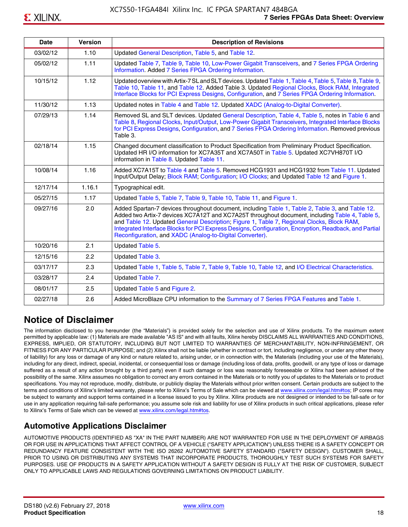| <b>Date</b> | <b>Version</b> | <b>Description of Revisions</b>                                                                                                                                                                                                                                                                                                                                                                                                                                     |
|-------------|----------------|---------------------------------------------------------------------------------------------------------------------------------------------------------------------------------------------------------------------------------------------------------------------------------------------------------------------------------------------------------------------------------------------------------------------------------------------------------------------|
| 03/02/12    | 1.10           | Updated General Description, Table 5, and Table 12.                                                                                                                                                                                                                                                                                                                                                                                                                 |
| 05/02/12    | 1.11           | Updated Table 7, Table 9, Table 10, Low-Power Gigabit Transceivers, and 7 Series FPGA Ordering<br>Information. Added 7 Series FPGA Ordering Information.                                                                                                                                                                                                                                                                                                            |
| 10/15/12    | 1.12           | Updated overview with Artix-7 SL and SLT devices. Updated Table 1, Table 4, Table 5, Table 8, Table 9,<br>Table 10, Table 11, and Table 12. Added Table 3. Updated Regional Clocks, Block RAM, Integrated<br>Interface Blocks for PCI Express Designs, Configuration, and 7 Series FPGA Ordering Information.                                                                                                                                                       |
| 11/30/12    | 1.13           | Updated notes in Table 4 and Table 12. Updated XADC (Analog-to-Digital Converter).                                                                                                                                                                                                                                                                                                                                                                                  |
| 07/29/13    | 1.14           | Removed SL and SLT devices. Updated General Description, Table 4, Table 5, notes in Table 6 and<br>Table 8, Regional Clocks, Input/Output, Low-Power Gigabit Transceivers, Integrated Interface Blocks<br>for PCI Express Designs, Configuration, and 7 Series FPGA Ordering Information. Removed previous<br>Table 3.                                                                                                                                              |
| 02/18/14    | 1.15           | Changed document classification to Product Specification from Preliminary Product Specification.<br>Updated HR I/O information for XC7A35T and XC7A50T in Table 5. Updated XC7VH870T I/O<br>information in Table 8. Updated Table 11.                                                                                                                                                                                                                               |
| 10/08/14    | 1.16           | Added XC7A15T to Table 4 and Table 5. Removed HCG1931 and HCG1932 from Table 11. Updated<br>Input/Output Delay; Block RAM; Configuration; I/O Clocks; and Updated Table 12 and Figure 1.                                                                                                                                                                                                                                                                            |
| 12/17/14    | 1.16.1         | Typographical edit.                                                                                                                                                                                                                                                                                                                                                                                                                                                 |
| 05/27/15    | 1.17           | Updated Table 5, Table 7, Table 9, Table 10, Table 11, and Figure 1.                                                                                                                                                                                                                                                                                                                                                                                                |
| 09/27/16    | 2.0            | Added Spartan-7 devices throughout document, including Table 1, Table 2, Table 3, and Table 12.<br>Added two Artix-7 devices XC7A12T and XC7A25T throughout document, including Table 4, Table 5,<br>and Table 12. Updated General Description; Figure 1, Table 7, Regional Clocks, Block RAM,<br>Integrated Interface Blocks for PCI Express Designs, Configuration, Encryption, Readback, and Partial<br>Reconfiguration, and XADC (Analog-to-Digital Converter). |
| 10/20/16    | 2.1            | Updated Table 5.                                                                                                                                                                                                                                                                                                                                                                                                                                                    |
| 12/15/16    | 2.2            | Updated Table 3.                                                                                                                                                                                                                                                                                                                                                                                                                                                    |
| 03/17/17    | 2.3            | Updated Table 1, Table 5, Table 7, Table 9, Table 10, Table 12, and I/O Electrical Characteristics.                                                                                                                                                                                                                                                                                                                                                                 |
| 03/28/17    | 2.4            | Updated Table 7.                                                                                                                                                                                                                                                                                                                                                                                                                                                    |
| 08/01/17    | 2.5            | Updated Table 5 and Figure 2.                                                                                                                                                                                                                                                                                                                                                                                                                                       |
| 02/27/18    | 2.6            | Added MicroBlaze CPU information to the Summary of 7 Series FPGA Features and Table 1.                                                                                                                                                                                                                                                                                                                                                                              |

### **Notice of Disclaimer**

The information disclosed to you hereunder (the "Materials") is provided solely for the selection and use of Xilinx products. To the maximum extent permitted by applicable law: (1) Materials are made available "AS IS" and with all faults, Xilinx hereby DISCLAIMS ALL WARRANTIES AND CONDITIONS, EXPRESS, IMPLIED, OR STATUTORY, INCLUDING BUT NOT LIMITED TO WARRANTIES OF MERCHANTABILITY, NON-INFRINGEMENT, OR FITNESS FOR ANY PARTICULAR PURPOSE; and (2) Xilinx shall not be liable (whether in contract or tort, including negligence, or under any other theory of liability) for any loss or damage of any kind or nature related to, arising under, or in connection with, the Materials (including your use of the Materials), including for any direct, indirect, special, incidental, or consequential loss or damage (including loss of data, profits, goodwill, or any type of loss or damage suffered as a result of any action brought by a third party) even if such damage or loss was reasonably foreseeable or Xilinx had been advised of the possibility of the same. Xilinx assumes no obligation to correct any errors contained in the Materials or to notify you of updates to the Materials or to product specifications. You may not reproduce, modify, distribute, or publicly display the Materials without prior written consent. Certain products are subject to the terms and conditions of Xilinx's limited warranty, please refer to Xilinx's Terms of Sale which can be viewed at [www.xilinx.com/legal.htm#tos;](www.xilinx.com/legal.htm#tos) IP cores may be subject to warranty and support terms contained in a license issued to you by Xilinx. Xilinx products are not designed or intended to be fail-safe or for use in any application requiring fail-safe performance; you assume sole risk and liability for use of Xilinx products in such critical applications, please refer to Xilinx's Terms of Sale which can be viewed at <www.xilinx.com/legal.htm#tos>.

### **Automotive Applications Disclaimer**

AUTOMOTIVE PRODUCTS (IDENTIFIED AS "XA" IN THE PART NUMBER) ARE NOT WARRANTED FOR USE IN THE DEPLOYMENT OF AIRBAGS OR FOR USE IN APPLICATIONS THAT AFFECT CONTROL OF A VEHICLE ("SAFETY APPLICATION") UNLESS THERE IS A SAFETY CONCEPT OR REDUNDANCY FEATURE CONSISTENT WITH THE ISO 26262 AUTOMOTIVE SAFETY STANDARD ("SAFETY DESIGN"). CUSTOMER SHALL, PRIOR TO USING OR DISTRIBUTING ANY SYSTEMS THAT INCORPORATE PRODUCTS, THOROUGHLY TEST SUCH SYSTEMS FOR SAFETY PURPOSES. USE OF PRODUCTS IN A SAFETY APPLICATION WITHOUT A SAFETY DESIGN IS FULLY AT THE RISK OF CUSTOMER, SUBJECT ONLY TO APPLICABLE LAWS AND REGULATIONS GOVERNING LIMITATIONS ON PRODUCT LIABILITY.